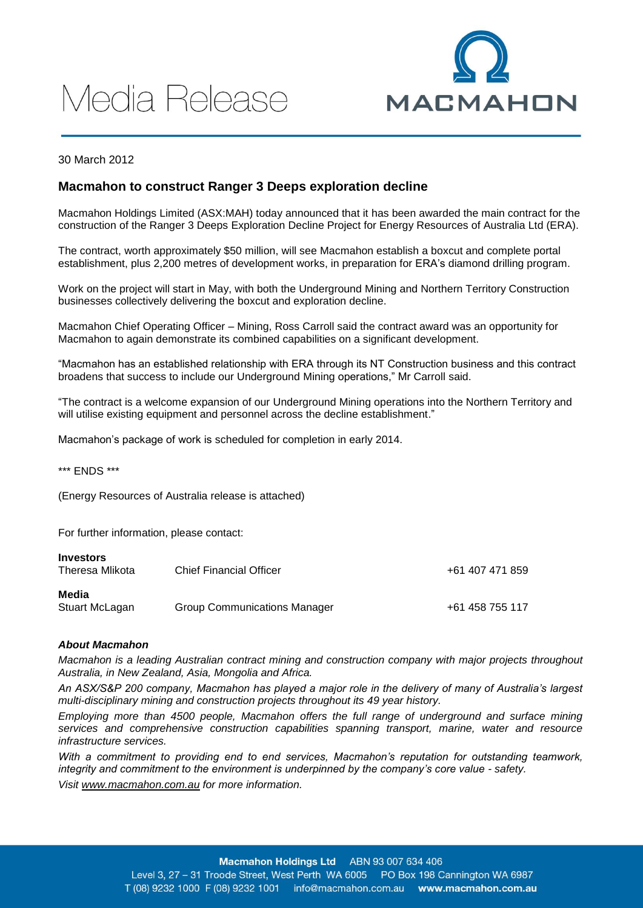# Media Release



30 March 2012

## **Macmahon to construct Ranger 3 Deeps exploration decline**

Macmahon Holdings Limited (ASX:MAH) today announced that it has been awarded the main contract for the construction of the Ranger 3 Deeps Exploration Decline Project for Energy Resources of Australia Ltd (ERA).

The contract, worth approximately \$50 million, will see Macmahon establish a boxcut and complete portal establishment, plus 2,200 metres of development works, in preparation for ERA's diamond drilling program.

Work on the project will start in May, with both the Underground Mining and Northern Territory Construction businesses collectively delivering the boxcut and exploration decline.

Macmahon Chief Operating Officer – Mining, Ross Carroll said the contract award was an opportunity for Macmahon to again demonstrate its combined capabilities on a significant development.

"Macmahon has an established relationship with ERA through its NT Construction business and this contract broadens that success to include our Underground Mining operations," Mr Carroll said.

"The contract is a welcome expansion of our Underground Mining operations into the Northern Territory and will utilise existing equipment and personnel across the decline establishment."

Macmahon's package of work is scheduled for completion in early 2014.

\*\*\* ENDS \*\*\*

(Energy Resources of Australia release is attached)

For further information, please contact:

| <b>Investors</b><br>Theresa Mlikota | <b>Chief Financial Officer</b>      | +61 407 471 859 |
|-------------------------------------|-------------------------------------|-----------------|
| Media<br>Stuart McLagan             | <b>Group Communications Manager</b> | +61 458 755 117 |

### *About Macmahon*

*Macmahon is a leading Australian contract mining and construction company with major projects throughout Australia, in New Zealand, Asia, Mongolia and Africa.*

*An ASX/S&P 200 company, Macmahon has played a major role in the delivery of many of Australia's largest multi-disciplinary mining and construction projects throughout its 49 year history.*

*Employing more than 4500 people, Macmahon offers the full range of underground and surface mining services and comprehensive construction capabilities spanning transport, marine, water and resource infrastructure services.*

*With a commitment to providing end to end services, Macmahon's reputation for outstanding teamwork, integrity and commitment to the environment is underpinned by the company's core value - safety.*

*Visit [www.macmahon.com.au](http://www.macmahon.com.au/) for more information.*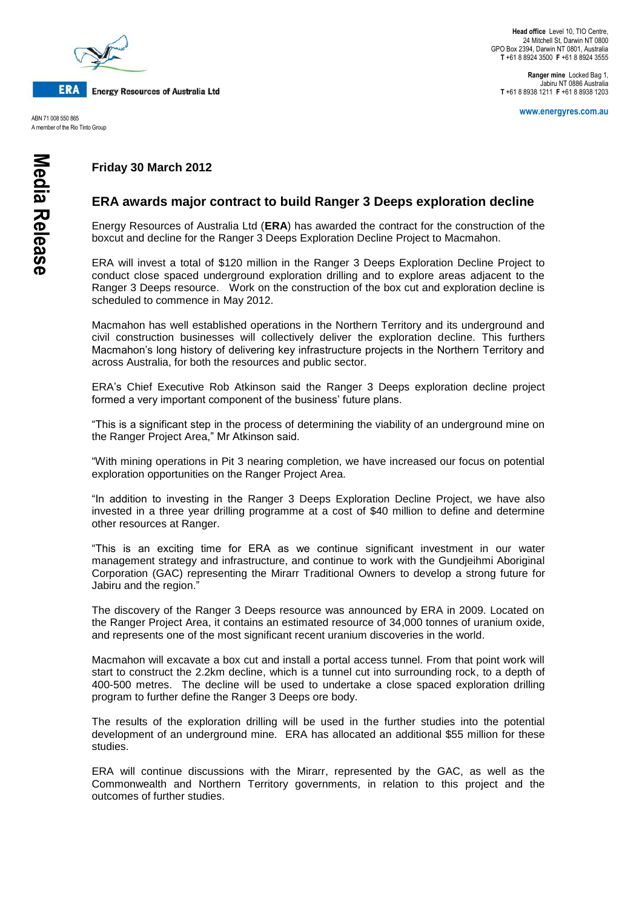

**Energy Resources of Australia Ltd** 

ABN 71 008 550 865 A member of the Rio Tinto Group

**Ranger mine** Locked Bag 1, Jabiru NT 0886 Australia **T** +61 8 8938 1211 **F** +61 8 8938 1203

**www.energyres.com.au**

# **Friday 30 March 2012**

## **ERA awards major contract to build Ranger 3 Deeps exploration decline**

Energy Resources of Australia Ltd (**ERA**) has awarded the contract for the construction of the boxcut and decline for the Ranger 3 Deeps Exploration Decline Project to Macmahon.

ERA will invest a total of \$120 million in the Ranger 3 Deeps Exploration Decline Project to conduct close spaced underground exploration drilling and to explore areas adjacent to the Ranger 3 Deeps resource. Work on the construction of the box cut and exploration decline is scheduled to commence in May 2012.

Macmahon has well established operations in the Northern Territory and its underground and civil construction businesses will collectively deliver the exploration decline. This furthers Macmahon's long history of delivering key infrastructure projects in the Northern Territory and across Australia, for both the resources and public sector.

ERA's Chief Executive Rob Atkinson said the Ranger 3 Deeps exploration decline project formed a very important component of the business' future plans.

"This is a significant step in the process of determining the viability of an underground mine on the Ranger Project Area," Mr Atkinson said.

"With mining operations in Pit 3 nearing completion, we have increased our focus on potential exploration opportunities on the Ranger Project Area.

"In addition to investing in the Ranger 3 Deeps Exploration Decline Project, we have also invested in a three year drilling programme at a cost of \$40 million to define and determine other resources at Ranger.

"This is an exciting time for ERA as we continue significant investment in our water management strategy and infrastructure, and continue to work with the Gundjeihmi Aboriginal Corporation (GAC) representing the Mirarr Traditional Owners to develop a strong future for Jabiru and the region."

The discovery of the Ranger 3 Deeps resource was announced by ERA in 2009. Located on the Ranger Project Area, it contains an estimated resource of 34,000 tonnes of uranium oxide, and represents one of the most significant recent uranium discoveries in the world.

Macmahon will excavate a box cut and install a portal access tunnel. From that point work will start to construct the 2.2km decline, which is a tunnel cut into surrounding rock, to a depth of 400-500 metres. The decline will be used to undertake a close spaced exploration drilling program to further define the Ranger 3 Deeps ore body.

The results of the exploration drilling will be used in the further studies into the potential development of an underground mine. ERA has allocated an additional \$55 million for these studies.

ERA will continue discussions with the Mirarr, represented by the GAC, as well as the Commonwealth and Northern Territory governments, in relation to this project and the outcomes of further studies.